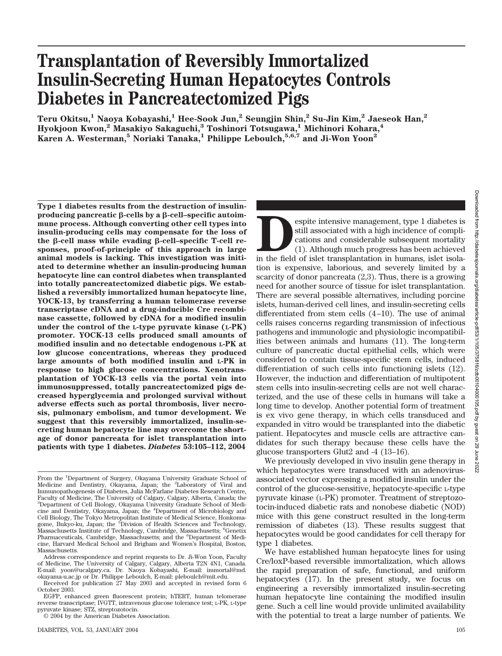# **Transplantation of Reversibly Immortalized Insulin-Secreting Human Hepatocytes Controls Diabetes in Pancreatectomized Pigs**

**Teru Okitsu,1 Naoya Kobayashi,1 Hee-Sook Jun,2 Seungjin Shin,2 Su-Jin Kim,2 Jaeseok Han,2 Hyokjoon Kwon,2 Masakiyo Sakaguchi,3 Toshinori Totsugawa,1 Michinori Kohara,4 Karen A. Westerman,5 Noriaki Tanaka,1 Philippe Leboulch,5,6,7 and Ji-Won Yoon2**

**Type 1 diabetes results from the destruction of insulinproducing pancreatic** β-cells by a β-cell–specific autoim**mune process. Although converting other cell types into insulin-producing cells may compensate for the loss of** the β-cell mass while evading β-cell–specific T-cell re**sponses, proof-of-principle of this approach in large animal models is lacking. This investigation was initiated to determine whether an insulin-producing human hepatocyte line can control diabetes when transplanted into totally pancreatectomized diabetic pigs. We established a reversibly immortalized human hepatocyte line, YOCK-13, by transferring a human telomerase reverse transcriptase cDNA and a drug-inducible Cre recombinase cassette, followed by cDNA for a modified insulin under the control of the L-type pyruvate kinase (L-PK) promoter. YOCK-13 cells produced small amounts of modified insulin and no detectable endogenous L-PK at low glucose concentrations, whereas they produced large amounts of both modified insulin and L-PK in response to high glucose concentrations. Xenotransplantation of YOCK-13 cells via the portal vein into immunosuppressed, totally pancreatectomized pigs decreased hyperglycemia and prolonged survival without adverse effects such as portal thrombosis, liver necrosis, pulmonary embolism, and tumor development. We suggest that this reversibly immortalized, insulin-secreting human hepatocyte line may overcome the shortage of donor pancreata for islet transplantation into patients with type 1 diabetes.** *Diabetes* **53:105–112, 2004**

**Pespite intensive management, type 1 diabetes is<br>still associated with a high incidence of complications and considerable subsequent mortality<br>(1). Although much progress has been achieved<br>in the field of islet transplant** still associated with a high incidence of complications and considerable subsequent mortality (1). Although much progress has been achieved tion is expensive, laborious, and severely limited by a scarcity of donor pancreata (2,3). Thus, there is a growing need for another source of tissue for islet transplantation. There are several possible alternatives, including porcine islets, human-derived cell lines, and insulin-secreting cells differentiated from stem cells (4–10). The use of animal cells raises concerns regarding transmission of infectious pathogens and immunologic and physiologic incompatibilities between animals and humans (11). The long-term culture of pancreatic ductal epithelial cells, which were considered to contain tissue-specific stem cells, induced differentiation of such cells into functioning islets (12). However, the induction and differentiation of multipotent stem cells into insulin-secreting cells are not well characterized, and the use of these cells in humans will take a long time to develop. Another potential form of treatment is ex vivo gene therapy, in which cells transduced and expanded in vitro would be transplanted into the diabetic patient. Hepatocytes and muscle cells are attractive candidates for such therapy because these cells have the glucose transporters Glut2 and -4 (13–16).

We previously developed in vivo insulin gene therapy in which hepatocytes were transduced with an adenovirusassociated vector expressing a modified insulin under the control of the glucose-sensitive, hepatocyte-specific L-type pyruvate kinase (L-PK) promoter. Treatment of streptozotocin-induced diabetic rats and nonobese diabetic (NOD) mice with this gene construct resulted in the long-term remission of diabetes (13). These results suggest that hepatocytes would be good candidates for cell therapy for type 1 diabetes.

We have established human hepatocyte lines for using Cre/loxP-based reversible immortalization, which allows the rapid preparation of safe, functional, and uniform hepatocytes (17). In the present study, we focus on engineering a reversibly immortalized insulin-secreting human hepatocyte line containing the modified insulin gene. Such a cell line would provide unlimited availability with the potential to treat a large number of patients. We

From the <sup>1</sup>Department of Surgery, Okayama University Graduate School of Medicine and Dentistry, Okayama, Japan; the <sup>2</sup>Laboratory of Viral and Immunopathogenesis of Diabetes, Julia McFarlane Diabetes Research Centre, Faculty of Medicine, The University of Calgary, Calgary, Alberta, Canada; the 3 Department of Cell Biology, Okayama University Graduate School of Medicine and Dentistry, Okayama, Japan; the <sup>4</sup> Department of Microbiology and Cell Biology, The Tokyo Metropolitan Institute of Medical Science, Honkomagome, Bukyo-ku, Japan; the <sup>5</sup>Division of Health Sciences and Technology, Massachusetts Institute of Technology, Cambridge, Massachusetts; <sup>6</sup>Genetix Pharmaceuticals, Cambridge, Massachusetts; and the <sup>6</sup>Department of Medicine, Harvard Medical School and Brigham and Women's Hospital, Boston, Massachusetts.

Address correspondence and reprint requests to Dr. Ji-Won Yoon, Faculty of Medicine, The University of Calgary, Calgary, Alberta T2N 4N1, Canada. E-mail: yoon@ucalgary.ca. Dr. Naoya Kobayashi, E-mail: immortal@md. okayama-u.ac.jp or Dr. Philippe Leboulch, E-mail: pleboulch@mit.edu.

Received for publication 27 May 2003 and accepted in revised form 6 October 2003.

EGFP, enhanced green fluorescent protein; hTERT, human telomerase reverse transcriptase; IVGTT, intravenous glucose tolerance test; L-PK, L-type pyruvate kinase; STZ, streptozotocin.

<sup>© 2004</sup> by the American Diabetes Association.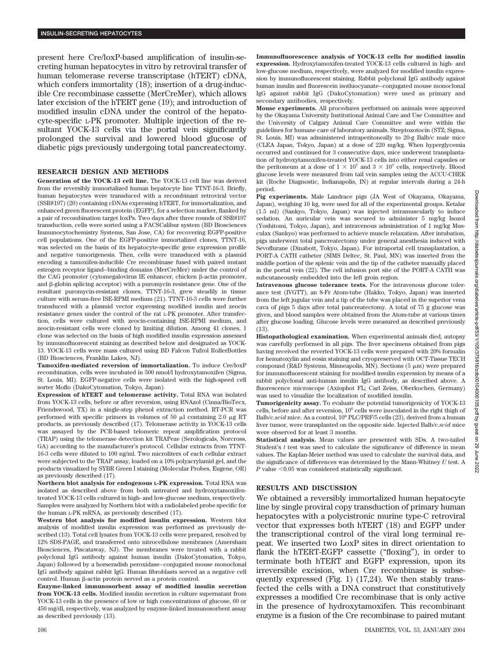present here Cre/loxP-based amplification of insulin-secreting human hepatocytes in vitro by retroviral transfer of human telomerase reverse transcriptase (hTERT) cDNA, which confers immortality (18); insertion of a drug-inducible Cre recombinase cassette (MerCreMer), which allows later excision of the hTERT gene (19); and introduction of modified insulin cDNA under the control of the hepatocyte-specific L-PK promoter. Multiple injection of the resultant YOCK-13 cells via the portal vein significantly prolonged the survival and lowered blood glucose of diabetic pigs previously undergoing total pancreatectomy.

#### **RESEARCH DESIGN AND METHODS**

**Generation of the YOCK-13 cell line.** The YOCK-13 cell line was derived from the reversibly immortalized human hepatocyte line TTNT-16-3. Briefly, human hepatocytes were transduced with a recombinant retroviral vector (SSR#197) (20) containing cDNAs expressing hTERT, for immortalization, and enhanced green fluorescent protein (EGFP), for a selection marker, flanked by a pair of recombination target loxPs. Two days after three rounds of SSR#197 transduction, cells were sorted using a FACSCalibur system (BD Biosciences Immunocytochemistry Systems, San Jose, CA) for recovering EGFP-positive cell populations. One of the EGFP-positive immortalized clones, TTNT-16, was selected on the basis of its hepatocyte-specific gene expression profile and negative tumorigenesis. Then, cells were transduced with a plasmid encoding a tamoxifen-inducible Cre recombinase fused with paired mutant estrogen receptor ligand–binding domains (MerCreMer) under the control of the CAG promoter (cytomegalovirus IE enhancer, chicken  $\beta$ -actin promoter, and  $\beta$ -globin splicing acceptor) with a puromycin resistance gene. One of the resultant puromycin-resistant clones, TTNT-16-3, grew steadily in tissue culture with serum-free ISE-RPMI medium (21). TTNT-16-3 cells were further transduced with a plasmid vector expressing modified insulin and zeocin resistance genes under the control of the rat L-PK promoter. After transfection, cells were cultured with zeocin-containing ISE-RPMI medium, and zeocin-resistant cells were cloned by limiting dilution. Among 41 clones, 1 clone was selected on the basis of high modified insulin expression assessed by immunofluorescent staining as described below and designated as YOCK-13. YOCK-13 cells were mass cultured using BD Falcon Tufrol RollerBottles (BD Biosciences, Franklin Lakes, NJ).

**Tamoxifen-mediated reversion of immortalization.** To induce Cre/loxP recombination, cells were incubated in 500 nmol/l hydroxytamoxifen (Sigma, St. Louis, MI). EGFP-negative cells were isolated with the high-speed cell sorter Moflo (DakoCytomation, Tokyo, Japan).

**Expression of hTERT and telomerase activity.** Total RNA was isolated from YOCK-13 cells, before or after reversion, using RNAzol (Cinna/BioTecx, Friendswood, TX) in a single-step phenol extraction method. RT-PCR was performed with specific primers in volumes of 50  $\mu$ l containing 2.0  $\mu$ g RT products, as previously described (17). Telomerase activity in YOCK-13 cells was assayed by the PCR-based telomeric repeat amplification protocol (TRAP) using the telomerase detection kit TRAPeze (Serologicals, Norcross, GA) according to the manufacturer's protocol. Cellular extracts from TTNT-16-3 cells were diluted to 100 ng/ml. Two microliters of each cellular extract were subjected to the TRAP assay, loaded on a 10% polyacrylamid gel, and the products visualized by SYBR Green I staining (Molecular Probes, Eugene, OR) as previously described (17).

**Northern blot analysis for endogenous L-PK expression.** Total RNA was isolated as described above from both untreated and hydroxytamoxifentreated YOCK-13 cells cultured in high- and low-glucose medium, respectively. Samples were analyzed by Northern blot with a radiolabeled probe specific for the human L-PK mRNA, as previously described (17).

**Western blot analysis for modified insulin expression.** Western blot analysis of modified insulin expression was performed as previously described (13). Total cell lysates from YOCK-13 cells were prepared, resolved by 12% SDS-PAGE, and transferred onto nitrocellulose membranes (Amersham Biosciences, Piscataway, NJ). The membranes were treated with a rabbit polyclonal IgG antibody against human insulin (DakoCytomation, Tokyo, Japan) followed by a horseradish peroxidase–conjugated mouse monoclonal IgG antibody against rabbit IgG. Human fibroblasts served as a negative cell control. Human  $\beta$ -actin protein served as a protein control.

**Enzyme-linked immunosorbent assay of modified insulin secretion from YOCK-13 cells.** Modified insulin secretion in culture supernatant from YOCK-13 cells in the presence of low or high concentrations of glucose, 60 or 450 mg/dl, respectively, was analyzed by enzyme-linked immunosorbent assay as described previously (13).

**Immunofluorescence analysis of YOCK-13 cells for modified insulin expression.** Hydroxytamoxifen-treated YOCK-13 cells cultured in high- and low-glucose medium, respectively, were analyzed for modified insulin expression by immunofluorescent staining. Rabbit polyclonal IgG antibody against human insulin and fluorescein isothiocyanate–conjugated mouse monoclonal IgG against rabbit IgG (DakoCytomation) were used as primary and secondary antibodies, respectively.

**Mouse experiments.** All procedures performed on animals were approved by the Okayama University Institutional Animal Care and Use Committee and the University of Calgary Animal Care Committee and were within the guidelines for humane care of laboratory animals. Streptozotocin (STZ; Sigma, St. Louis, MI) was administered intraperitoneally to 20-g Balb/c male mice (CLEA Japan, Tokyo, Japan) at a dose of 220 mg/kg. When hyperglycemia occurred and continued for 3 consecutive days, mice underwent transplantation of hydroxytamoxifen-treated YOCK-13 cells into either renal capsules or the peritoneum at a dose of  $1 \times 10^7$  and  $3 \times 10^7$  cells, respectively. Blood glucose levels were measured from tail vein samples using the ACCU-CHEK kit (Roche Diagnostic, Indianapolis, IN) at regular intervals during a 24-h period.

**Pig experiments.** Male Landrace pigs (JA West of Okayama, Okayama, Japan), weighing 10 kg, were used for all of the experimental groups. Ketalar (1.5 ml) (Sankyo, Tokyo, Japan) was injected intramuscularly to induce sedation. An auricular vein was secured to administer 5 mg/kg Isozol (Yoshitomi, Tokyo, Japan), and intravenous administration of 1 mg/kg Musculax (Sankyo) was performed to achieve muscle relaxation. After intubation, pigs underwent total pancreatectomy under general anesthesia induced with Sevoflurane (Dinabott, Tokyo, Japan). For intraportal cell transplantation, a PORT-A CATH catheter (SIMS Deltec, St. Paul, MN) was inserted from the middle portion of the splenic vein and the tip of the catheter manually placed in the portal vein (22). The cell infusion port site of the PORT-A CATH was subcutaneously embedded into the left groin region.

**Intravenous glucose tolerance tests.** For the intravenous glucose tolerance test (IVGTT), an 8-Fr Atom-tube (Hakko, Tokyo, Japan) was inserted from the left jugular vein and a tip of the tube was placed in the superior vena cava of pigs 5 days after total pancreatectomy. A total of 75 g glucose was given, and blood samples were obtained from the Atom-tube at various times after glucose loading. Glucose levels were measured as described previously (13).

**Histopathological examination.** When experimental animals died, autopsy was carefully performed in all pigs. The liver specimens obtained from pigs having received the reverted YOCK-13 cells were prepared with 20% formalin for hematoxylin and eosin staining and cryopreserved with OCT-Tissue TECH compound (R&D Systems, Minneapolis, MN). Sections  $(5 \mu m)$  were prepared for immunofluorescent staining for modified insulin expression by means of a rabbit polyclonal anti-human insulin IgG antibody, as described above. A fluorescence microscope (Axiophot FL; Carl Zeiss, Oberkochen, Germany) was used to visualize the localization of modified insulin.

**Tumorigenicity assay.** To evaluate the potential tumorigenicity of YOCK-13 cells, before and after reversion, 106 cells were inoculated in the right thigh of Balb/c.scid mice. As a control,  $10^6$  PLC/PRF/5 cells (23), derived from a human liver tumor, were transplanted on the opposite side. Injected Balb/c.*scid* mice were observed for at least 3 months.

**Statistical analysis.** Mean values are presented with SDs. A two-tailed Student's  $t$  test was used to calculate the significance of difference in mean values. The Kaplan-Meier method was used to calculate the survival data, and the significance of differences was determined by the Mann-Whitney *U* test. A  $P$  value  $\leq 0.05$  was considered statistically significant.

#### **RESULTS AND DISCUSSION**

We obtained a reversibly immortalized human hepatocyte line by single proviral copy transduction of primary human hepatocytes with a polycistronic murine type-C retroviral vector that expresses both hTERT (18) and EGFP under the transcriptional control of the viral long terminal repeat. We inserted two LoxP sites in direct orientation to flank the hTERT-EGFP cassette ("floxing"), in order to terminate both hTERT and EGFP expression, upon its irreversible excision, when Cre recombinase is subsequently expressed (Fig. 1) (17,24). We then stably transfected the cells with a DNA construct that constitutively expresses a modified Cre recombinase that is only active in the presence of hydroxytamoxifen. This recombinant enzyme is a fusion of the Cre recombinase to paired mutant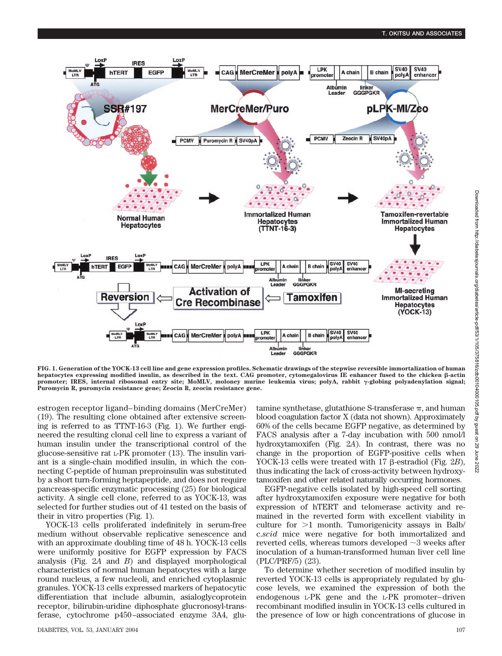

**FIG. 1. Generation of the YOCK-13 cell line and gene expression profiles. Schematic drawings of the stepwise reversible immortalization of human** hepatocytes expressing modified insulin, as described in the text. CAG promoter, cytomegalovirus IE enhancer fused to the chicken  $\beta$ -actin promoter; IRES, internal ribosomal entry site; MoMLV, moloney murine leukemia virus; polyA, rabbit  $\gamma$ -globing polyadenylation signal; **Puromycin R, puromycin resistance gene; Zeocin R, zeocin resistance gene.**

estrogen receptor ligand– binding domains (MerCreMer) (19). The resulting clone obtained after extensive screening is referred to as TTNT-16-3 (Fig. 1). We further engineered the resulting clonal cell line to express a variant of human insulin under the transcriptional control of the glucose-sensitive rat L-PK promoter (13). The insulin variant is a single-chain modified insulin, in which the connecting C-peptide of human preproinsulin was substituted by a short turn-forming heptapeptide, and does not require pancreas-specific enzymatic processing (25) for biological activity. A single cell clone, referred to as YOCK-13, was selected for further studies out of 41 tested on the basis of their in vitro properties (Fig. 1).

YOCK-13 cells proliferated indefinitely in serum-free medium without observable replicative senescence and with an approximate doubling time of 48 h. YOCK-13 cells were uniformly positive for EGFP expression by FACS analysis (Fig. 2*A* and *B*) and displayed morphological characteristics of normal human hepatocytes with a large round nucleus, a few nucleoli, and enriched cytoplasmic granules. YOCK-13 cells expressed markers of hepatocytic differentiation that include albumin, asialoglycoprotein receptor, bilirubin-uridine diphosphate glucronosyl-transferase, cytochrome p450–associated enzyme 3A4, glutamine synthetase, glutathione S-transferase  $\pi$ , and human blood coagulation factor X (data not shown). Approximately 60% of the cells became EGFP negative, as determined by FACS analysis after a 7-day incubation with 500 nmol/l hydroxytamoxifen (Fig. 2*A*). In contrast, there was no change in the proportion of EGFP-positive cells when YOCK-13 cells were treated with 17  $\beta$ -estradiol (Fig. 2*B*), thus indicating the lack of cross-activity between hydroxytamoxifen and other related naturally occurring hormones.

EGFP-negative cells isolated by high-speed cell sorting after hydroxytamoxifen exposure were negative for both expression of hTERT and telomerase activity and remained in the reverted form with excellent viability in culture for  $>1$  month. Tumorigenicity assays in Balb/ c.*scid* mice were negative for both immortalized and reverted cells, whereas tumors developed  $\sim$ 3 weeks after inoculation of a human-transformed human liver cell line (PLC/PRF/5) (23).

To determine whether secretion of modified insulin by reverted YOCK-13 cells is appropriately regulated by glucose levels, we examined the expression of both the endogenous L-PK gene and the L-PK promoter–driven recombinant modified insulin in YOCK-13 cells cultured in the presence of low or high concentrations of glucose in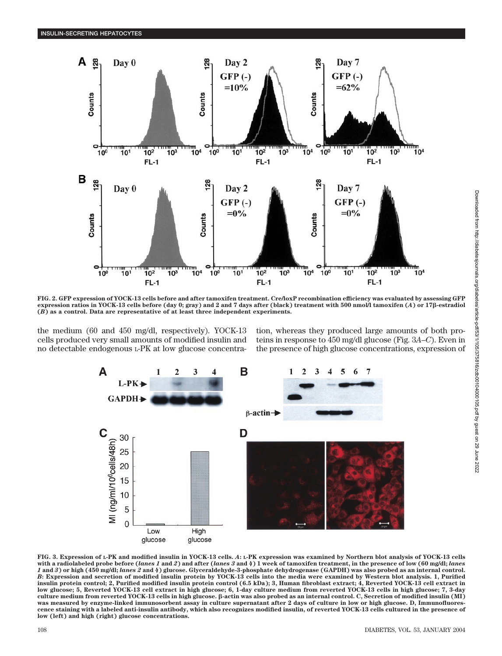

**FIG. 2. GFP expression of YOCK-13 cells before and after tamoxifen treatment. Cre/loxP recombination efficiency was evaluated by assessing GFP expression ratios in YOCK-13 cells before (day 0; gray) and 2 and 7 days after (black) treatment with 500 nmol/l tamoxifen (***A***) or 17-estradiol (***B***) as a control. Data are representative of at least three independent experiments.**

the medium (60 and 450 mg/dl, respectively). YOCK-13 cells produced very small amounts of modified insulin and no detectable endogenous L-PK at low glucose concentration, whereas they produced large amounts of both proteins in response to 450 mg/dl glucose (Fig. 3*A*–*C*). Even in the presence of high glucose concentrations, expression of



**FIG. 3. Expression of L-PK and modified insulin in YOCK-13 cells.** *A***: L-PK expression was examined by Northern blot analysis of YOCK-13 cells with a radiolabeled probe before (***lanes 1* **and** *2***) and after (***lanes 3* **and** *4***) 1 week of tamoxifen treatment, in the presence of low (60 mg/dl;** *lanes 1* **and** *3***) or high (450 mg/dl;** *lanes 2* **and** *4***) glucose. Glyceraldehyde-3-phosphate dehydrogenase (GAPDH) was also probed as an internal control.** *B***: Expression and secretion of modified insulin protein by YOCK-13 cells into the media were examined by Western blot analysis. 1, Purified insulin protein control; 2, Purified modified insulin protein control (6.5 kDa); 3, Human fibroblast extract; 4, Reverted YOCK-13 cell extract in low glucose; 5, Reverted YOCK-13 cell extract in high glucose; 6, 1-day culture medium from reverted YOCK-13 cells in high glucose; 7, 3-day** culture medium from reverted YOCK-13 cells in high glucose.  $\beta$ -actin was also probed as an internal control. C, Secretion of modified insulin (MI) **was measured by enzyme-linked immunosorbent assay in culture supernatant after 2 days of culture in low or high glucose. D, Immunofluorescence staining with a labeled anti-insulin antibody, which also recognizes modified insulin, of reverted YOCK-13 cells cultured in the presence of low (left) and high (right) glucose concentrations.**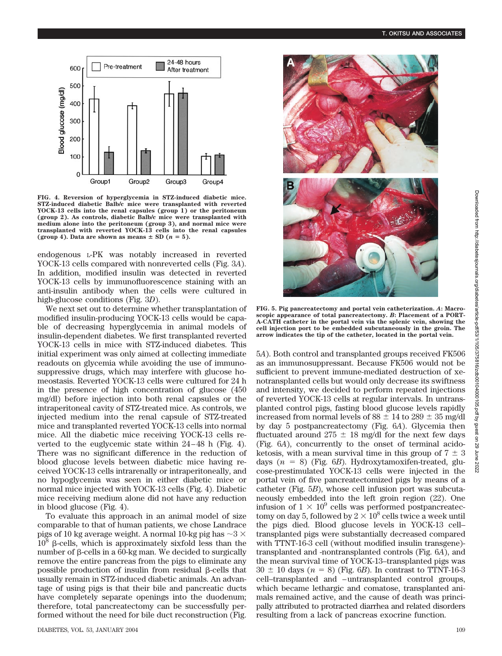

**FIG. 4. Reversion of hyperglycemia in STZ-induced diabetic mice. STZ-induced diabetic Balb/c mice were transplanted with reverted YOCK-13 cells into the renal capsules (group 1) or the peritoneum (group 2). As controls, diabetic Balb/c mice were transplanted with medium alone into the peritoneum (group 3), and normal mice were transplanted with reverted YOCK-13 cells into the renal capsules** (group 4). Data are shown as means  $\pm$  SD ( $n = 5$ ).

endogenous L-PK was notably increased in reverted YOCK-13 cells compared with nonreverted cells (Fig. 3*A*). In addition, modified insulin was detected in reverted YOCK-13 cells by immunofluorescence staining with an anti-insulin antibody when the cells were cultured in high-glucose conditions (Fig. 3*D*).

We next set out to determine whether transplantation of modified insulin-producing YOCK-13 cells would be capable of decreasing hyperglycemia in animal models of insulin-dependent diabetes. We first transplanted reverted YOCK-13 cells in mice with STZ-induced diabetes. This initial experiment was only aimed at collecting immediate readouts on glycemia while avoiding the use of immunosuppressive drugs, which may interfere with glucose homeostasis. Reverted YOCK-13 cells were cultured for 24 h in the presence of high concentration of glucose (450 mg/dl) before injection into both renal capsules or the intraperitoneal cavity of STZ-treated mice. As controls, we injected medium into the renal capsule of STZ-treated mice and transplanted reverted YOCK-13 cells into normal mice. All the diabetic mice receiving YOCK-13 cells reverted to the euglycemic state within 24–48 h (Fig. 4). There was no significant difference in the reduction of blood glucose levels between diabetic mice having received YOCK-13 cells intrarenally or intraperitoneally, and no hypoglycemia was seen in either diabetic mice or normal mice injected with YOCK-13 cells (Fig. 4). Diabetic mice receiving medium alone did not have any reduction in blood glucose (Fig. 4).

To evaluate this approach in an animal model of size comparable to that of human patients, we chose Landrace pigs of 10 kg average weight. A normal 10-kg pig has  $\sim$ 3  $\times$  $10^8$   $\beta$ -cells, which is approximately sixfold less than the number of  $\beta$ -cells in a 60-kg man. We decided to surgically remove the entire pancreas from the pigs to eliminate any possible production of insulin from residual  $\beta$ -cells that usually remain in STZ-induced diabetic animals. An advantage of using pigs is that their bile and pancreatic ducts have completely separate openings into the duodenum; therefore, total pancreatectomy can be successfully performed without the need for bile duct reconstruction (Fig.



**FIG. 5. Pig pancreatectomy and portal vein catheterization.** *A***: Macroscopic appearance of total pancreatectomy.** *B***: Placement of a PORT-A-CATH catheter in the portal vein via the splenic vein, showing the cell injection port to be embedded subcutaneously in the groin. The arrow indicates the tip of the catheter, located in the portal vein.**

5*A*). Both control and transplanted groups received FK506 as an immunosuppressant. Because FK506 would not be sufficient to prevent immune-mediated destruction of xenotransplanted cells but would only decrease its swiftness and intensity, we decided to perform repeated injections of reverted YOCK-13 cells at regular intervals. In untransplanted control pigs, fasting blood glucose levels rapidly increased from normal levels of  $88 \pm 14$  to  $289 \pm 35$  mg/dl by day 5 postpancreatectomy (Fig. 6*A*). Glycemia then fluctuated around  $275 \pm 18$  mg/dl for the next few days (Fig. 6*A*), concurrently to the onset of terminal acidoketosis, with a mean survival time in this group of  $7 \pm 3$ days  $(n = 8)$  (Fig. 6*B*). Hydroxytamoxifen-treated, glucose-prestimulated YOCK-13 cells were injected in the portal vein of five pancreatectomized pigs by means of a catheter (Fig. 5*B*), whose cell infusion port was subcutaneously embedded into the left groin region (22). One infusion of  $1 \times 10^9$  cells was performed postpancreatectomy on day 5, followed by  $2 \times 10^8$  cells twice a week until the pigs died. Blood glucose levels in YOCK-13 cell– transplanted pigs were substantially decreased compared with TTNT-16-3 cell (without modified insulin transgene) transplanted and -nontransplanted controls (Fig. 6*A*), and the mean survival time of YOCK-13–transplanted pigs was  $30 \pm 10$  days ( $n = 8$ ) (Fig. 6*B*). In contrast to TTNT-16-3 cell–transplanted and –untransplanted control groups, which became lethargic and comatose, transplanted animals remained active, and the cause of death was principally attributed to protracted diarrhea and related disorders resulting from a lack of pancreas exocrine function.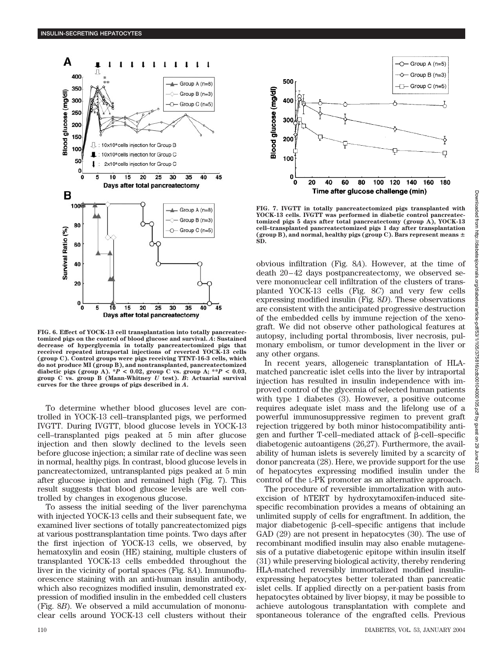

**FIG. 6. Effect of YOCK-13 cell transplantation into totally pancreatectomized pigs on the control of blood glucose and survival.** *A***: Sustained decrease of hyperglycemia in totally pancreatectomized pigs that received repeated intraportal injections of reverted YOCK-13 cells (group C). Control groups were pigs receiving TTNT-16-3 cells, which do not produce MI (group B), and nontransplanted, pancreatectomized** diabetic pigs (group A).  $*P < 0.02$ , group C vs. group A;  $*P < 0.03$ , **group C vs. group B (Mann-Whitney** *U* **test).** *B***: Actuarial survival curves for the three groups of pigs described in** *A***.**

To determine whether blood glucoses level are controlled in YOCK-13 cell–transplanted pigs, we performed IVGTT. During IVGTT, blood glucose levels in YOCK-13 cell–transplanted pigs peaked at 5 min after glucose injection and then slowly declined to the levels seen before glucose injection; a similar rate of decline was seen in normal, healthy pigs. In contrast, blood glucose levels in pancreatectomized, untransplanted pigs peaked at 5 min after glucose injection and remained high (Fig. 7). This result suggests that blood glucose levels are well controlled by changes in exogenous glucose.

To assess the initial seeding of the liver parenchyma with injected YOCK-13 cells and their subsequent fate, we examined liver sections of totally pancreatectomized pigs at various posttransplantation time points. Two days after the first injection of YOCK-13 cells, we observed, by hematoxylin and eosin (HE) staining, multiple clusters of transplanted YOCK-13 cells embedded throughout the liver in the vicinity of portal spaces (Fig. 8*A*). Immunofluorescence staining with an anti-human insulin antibody, which also recognizes modified insulin, demonstrated expression of modified insulin in the embedded cell clusters (Fig. 8*B*). We observed a mild accumulation of mononuclear cells around YOCK-13 cell clusters without their



**FIG. 7. IVGTT in totally pancreatectomized pigs transplanted with YOCK-13 cells. IVGTT was performed in diabetic control pancreatectomized pigs 5 days after total pancreatectomy (group A), YOCK-13 cell–transplanted pancreatectomized pigs 1 day after transplantation (group B), and normal, healthy pigs (group C). Bars represent means SD.**

obvious infiltration (Fig. 8*A*). However, at the time of death 20–42 days postpancreatectomy, we observed severe mononuclear cell infiltration of the clusters of transplanted YOCK-13 cells (Fig. 8*C*) and very few cells expressing modified insulin (Fig. 8*D*). These observations are consistent with the anticipated progressive destruction of the embedded cells by immune rejection of the xenograft. We did not observe other pathological features at autopsy, including portal thrombosis, liver necrosis, pulmonary embolism, or tumor development in the liver or any other organs.

In recent years, allogeneic transplantation of HLAmatched pancreatic islet cells into the liver by intraportal injection has resulted in insulin independence with improved control of the glycemia of selected human patients with type 1 diabetes (3). However, a positive outcome requires adequate islet mass and the lifelong use of a powerful immunosuppressive regimen to prevent graft rejection triggered by both minor histocompatibility antigen and further T-cell–mediated attack of  $\beta$ -cell–specific diabetogenic autoantigens (26,27). Furthermore, the availability of human islets is severely limited by a scarcity of donor pancreata (28). Here, we provide support for the use of hepatocytes expressing modified insulin under the control of the L-PK promoter as an alternative approach.

The procedure of reversible immortalization with autoexcision of hTERT by hydroxytamoxifen-induced sitespecific recombination provides a means of obtaining an unlimited supply of cells for engraftment. In addition, the major diabetogenic  $\beta$ -cell–specific antigens that include GAD (29) are not present in hepatocytes (30). The use of recombinant modified insulin may also enable mutagenesis of a putative diabetogenic epitope within insulin itself (31) while preserving biological activity, thereby rendering HLA-matched reversibly immortalized modified insulinexpressing hepatocytes better tolerated than pancreatic islet cells. If applied directly on a per-patient basis from hepatocytes obtained by liver biopsy, it may be possible to achieve autologous transplantation with complete and spontaneous tolerance of the engrafted cells. Previous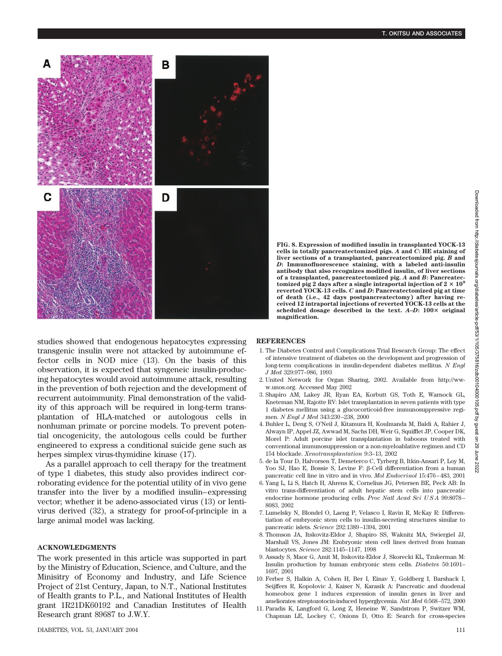

studies showed that endogenous hepatocytes expressing transgenic insulin were not attacked by autoimmune effector cells in NOD mice (13). On the basis of this observation, it is expected that syngeneic insulin-producing hepatocytes would avoid autoimmune attack, resulting in the prevention of both rejection and the development of recurrent autoimmunity. Final demonstration of the validity of this approach will be required in long-term transplantation of HLA-matched or autologous cells in nonhuman primate or porcine models. To prevent potential oncogenicity, the autologous cells could be further engineered to express a conditional suicide gene such as herpes simplex virus-thymidine kinase (17).

As a parallel approach to cell therapy for the treatment of type 1 diabetes, this study also provides indirect corroborating evidence for the potential utility of in vivo gene transfer into the liver by a modified insulin–expressing vector; whether it be adeno-associated virus (13) or lentivirus derived (32), a strategy for proof-of-principle in a large animal model was lacking.

### **ACKNOWLEDGMENTS**

The work presented in this article was supported in part by the Ministry of Education, Science, and Culture, and the Minisitry of Economy and Industry, and Life Science Project of 21st Century, Japan, to N.T., National Institutes of Health grants to P.L., and National Institutes of Health grant 1R21DK60192 and Canadian Institutes of Health Research grant 89687 to J.W.Y.

## **REFERENCES**

- 1. The Diabetes Control and Complications Trial Research Group: The effect of intensive treatment of diabetes on the development and progression of long-term complications in insulin-dependent diabetes mellitus. *N Engl J Med* 329:977–986, 1993
- 2. United Network for Organ Sharing, 2002. Available from http://www.unos.org. Accessed May 2002
- 3. Shapiro AM, Lakey JR, Ryan EA, Korbutt GS, Toth E, Warnock GL, Kneteman NM, Rajotte RV: Islet transplantation in seven patients with type 1 diabetes mellitus using a glucocorticoid-free immunosuppressive regimen. *N Engl J Med* 343:230–238, 2000
- 4. Buhler L, Deng S, O'Neil J, Kitamura H, Koulmanda M, Baldi A, Rahier J, Alwayn IP, Appel JZ, Awwad M, Sachs DH, Weir G, Squifflet JP, Cooper DK, Morel P: Adult porcine islet transplantation in baboons treated with conventional immunosuppression or a non-myeloablative regimen and CD 154 blockade. *Xenotransplantation* 9:3–13, 2002
- 5. de la Tour D, Halvorsen T, Demeterco C, Tyrberg B, Itkin-Ansari P, Loy M, Yoo SJ, Hao E, Bossie S, Levine F: β-Cell differentiation from a human pancreatic cell line in vitro and in vivo. *Mol Endocrinol* 15:476–483, 2001
- 6. Yang L, Li S, Hatch H, Ahrens K, Cornelius JG, Petersen BE, Peck AB: In vitro trans-differentiation of adult hepatic stem cells into pancreatic endocrine hormone producing cells. *Proc Natl Acad Sci U S A* 99:8078– 8083, 2002
- 7. Lumelsky N, Blondel O, Laeng P, Velasco I, Ravin R, McKay R: Differentiation of embryonic stem cells to insulin-secreting structures similar to pancreatic islets. *Science* 292:1389–1394, 2001
- 8. Thomson JA, Itskovitz-Eldor J, Shapiro SS, Waknitz MA, Swiergiel JJ, Marshall VS, Jones JM: Embryonic stem cell lines derived from human blastocytes. *Science* 282:1145–1147, 1998
- 9. Assady S, Maor G, Amit M, Itskovitz-Eldor J, Skorecki KL, Tzukerman M: Insulin production by human embryonic stem cells. *Diabetes* 50:1691– 1697, 2001
- 10. Ferber S, Halkin A, Cohen H, Ber I, Einav Y, Goldberg I, Barshack I, Seijffers R, Kopolovic J, Kaiser N, Karasik A: Pancreatic and duodenal homeobox gene 1 induces expression of insulin genes in liver and ameliorates streptozotocin-induced hyperglycemia. *Nat Med* 6:568–572, 2000
- 11. Paradis K, Langford G, Long Z, Heneine W, Sandstrom P, Switzer WM, Chapman LE, Lockey C, Onions D, Otto E: Search for cross-species